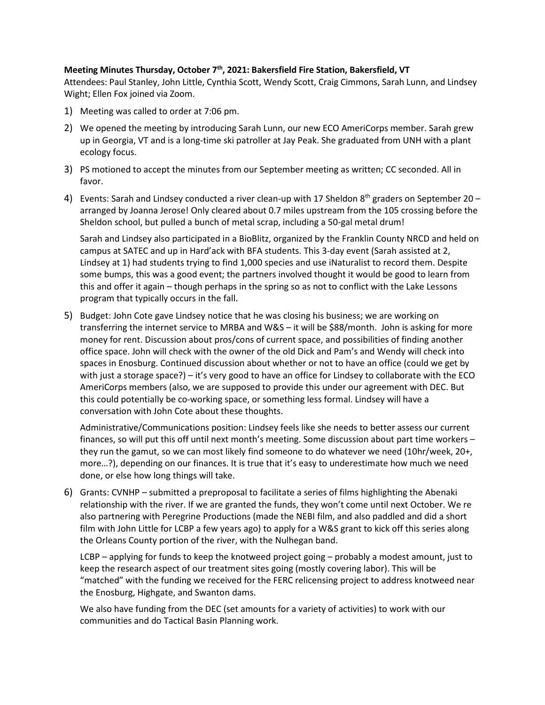## **Meeting Minutes Thursday, October 7<sup>th</sup>, 2021: Bakersfield Fire Station, Bakersfield, VT**

Attendees: Paul Stanley, John Little, Cynthia Scott, Wendy Scott, Craig Cimmons, Sarah Lunn, and Lindsey Wight; Ellen Fox joined via Zoom.

- 1) Meeting was called to order at 7:06 pm.
- 2) We opened the meeting by introducing Sarah Lunn, our new ECO AmeriCorps member. Sarah grew up in Georgia, VT and is a long-time ski patroller at Jay Peak. She graduated from UNH with a plant ecology focus.
- 3) PS motioned to accept the minutes from our September meeting as written; CC seconded. All in favor.
- 4) Events: Sarah and Lindsey conducted a river clean-up with 17 Sheldon  $8<sup>th</sup>$  graders on September 20 arranged by Joanna Jerose! Only cleared about 0.7 miles upstream from the 105 crossing before the Sheldon school, but pulled a bunch of metal scrap, including a 50-gal metal drum!

Sarah and Lindsey also participated in a BioBlitz, organized by the Franklin County NRCD and held on campus at SATEC and up in Hard'ack with BFA students. This 3-day event (Sarah assisted at 2, Lindsey at 1) had students trying to find 1,000 species and use iNaturalist to record them. Despite some bumps, this was a good event; the partners involved thought it would be good to learn from this and offer it again – though perhaps in the spring so as not to conflict with the Lake Lessons program that typically occurs in the fall.

5) Budget: John Cote gave Lindsey notice that he was closing his business; we are working on transferring the internet service to MRBA and W&S – it will be \$88/month. John is asking for more money for rent. Discussion about pros/cons of current space, and possibilities of finding another office space. John will check with the owner of the old Dick and Pam's and Wendy will check into spaces in Enosburg. Continued discussion about whether or not to have an office (could we get by with just a storage space?) – it's very good to have an office for Lindsey to collaborate with the ECO AmeriCorps members (also, we are supposed to provide this under our agreement with DEC. But this could potentially be co-working space, or something less formal. Lindsey will have a conversation with John Cote about these thoughts.

Administrative/Communications position: Lindsey feels like she needs to better assess our current finances, so will put this off until next month's meeting. Some discussion about part time workers – they run the gamut, so we can most likely find someone to do whatever we need (10hr/week, 20+, more…?), depending on our finances. It is true that it's easy to underestimate how much we need done, or else how long things will take.

6) Grants: CVNHP – submitted a preproposal to facilitate a series of films highlighting the Abenaki relationship with the river. If we are granted the funds, they won't come until next October. We re also partnering with Peregrine Productions (made the NEBI film, and also paddled and did a short film with John Little for LCBP a few years ago) to apply for a W&S grant to kick off this series along the Orleans County portion of the river, with the Nulhegan band.

LCBP – applying for funds to keep the knotweed project going – probably a modest amount, just to keep the research aspect of our treatment sites going (mostly covering labor). This will be "matched" with the funding we received for the FERC relicensing project to address knotweed near the Enosburg, Highgate, and Swanton dams.

We also have funding from the DEC (set amounts for a variety of activities) to work with our communities and do Tactical Basin Planning work.